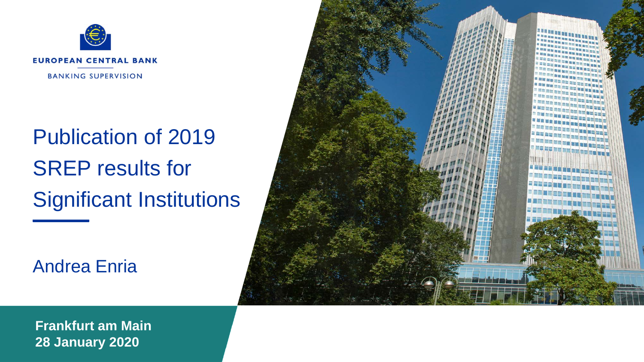

# Publication of 2019 SREP results for Significant Institutions

Andrea Enria



**Frankfurt am Main 28 January 2020**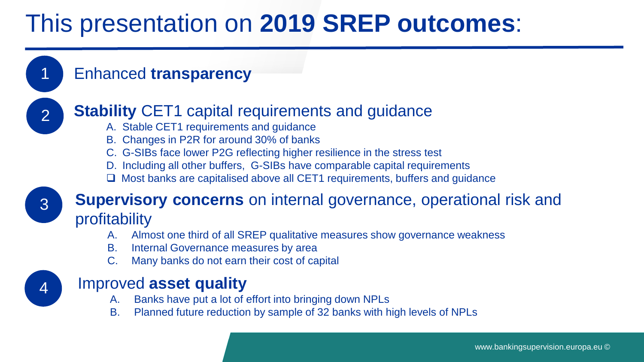## This presentation on **2019 SREP outcomes**:

### Enhanced **transparency**



3

4

1

### **Stability** CET1 capital requirements and quidance

- A. Stable CET1 requirements and guidance
- B. Changes in P2R for around 30% of banks
- C. G-SIBs face lower P2G reflecting higher resilience in the stress test
- D. Including all other buffers, G-SIBs have comparable capital requirements
- $\Box$  Most banks are capitalised above all CET1 requirements, buffers and guidance

### **Supervisory concerns** on internal governance, operational risk and profitability

- A. Almost one third of all SREP qualitative measures show governance weakness
- B. Internal Governance measures by area
- Many banks do not earn their cost of capital

### Improved **asset quality**

- A. Banks have put a lot of effort into bringing down NPLs
- B. Planned future reduction by sample of 32 banks with high levels of NPLs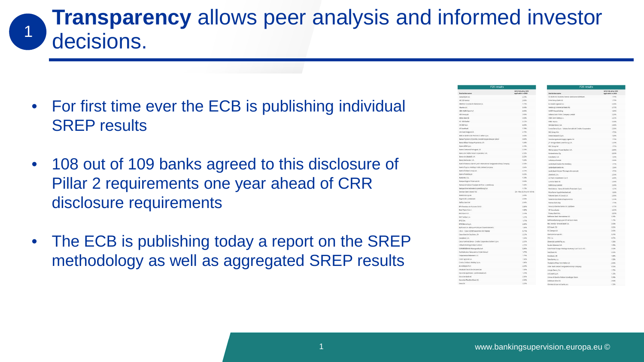## **Transparency** allows peer analysis and informed investor decisions.

- For first time ever the ECB is publishing individual SREP results
- 108 out of 109 banks agreed to this disclosure of Pillar 2 requirements one year ahead of CRR disclosure requirements
- The ECB is publishing today a report on the SREP methodology as well as aggregated SREP results

| <b>P2R results</b>                                                     |                                           | <b>P2R results</b>                                              |                                            |
|------------------------------------------------------------------------|-------------------------------------------|-----------------------------------------------------------------|--------------------------------------------|
| Institution name                                                       | tera eta atia cerri<br>associated in 2020 | Institution name                                                | 2019 F2R all in CETT<br>annikrahle in 2008 |
| Agend Rock AG                                                          | 225%                                      | OZ BANK AG Deutsche Zentral-Genotormutaftsbank                  | 1,72%                                      |
| All SED harden.                                                        | 2,00%                                     | <b>Cryse Crysen Bank AG</b>                                     | 1,71%                                      |
| ABANCA Compración Bancaria S.A.                                        | 1,799                                     | Eurobank Etgaslas S.A.                                          | 3,00%                                      |
| <b>Khamia G.C.</b>                                                     | 1,559                                     | Hamburg Commercial Bank AG                                      | 2,73%                                      |
| ABY AMRO Earn N.Y.                                                     | 2,889                                     | HASPA Finanziholding                                            | 1,00%                                      |
| ASS Great rid                                                          | 3,009                                     | Hellenc Bank Public Company Limited                             | 3,33%                                      |
| Alpha Bank AE                                                          | 2.589                                     | HSBC Bank Maita p.l.c.                                          | 225%                                       |
| At '500 banks'                                                         | 2,25%                                     | HSEC France                                                     | 3,00%                                      |
| AX 588 Family                                                          | 2,25%                                     | <b>Bernar Raton S.A.</b>                                        | 2.50%                                      |
| At Semiliard                                                           | 1,70%                                     | Torrea Banco S.p.A. - Estituta Centrale del Credita Coaperativo | 2,53%                                      |
| AIA Bank Briggam SA                                                    | 2,75%                                     | INS Groep N.V.                                                  | 1,75%                                      |
| BRACK AND MTS GET PASCAE DE SEDAN S.p.A.                               | 3,000                                     | <b>Intera Sangapio S.o.A.</b>                                   | $1.6$ fm                                   |
| Banca Popolare di Sondrio, Società Cooperativa per Azioni              | sais                                      | Investmingsmaatschappa Argenta MV                               | 1,798                                      |
| Easte Billian Victory Americans L.A.                                   | 0.989                                     | LP, Morgan Bank Luxembourg S.A.                                 | 2.23%                                      |
| Easyn RPM Sm &                                                         | 2.249                                     | KBC Group NV                                                    | 125%                                       |
| Eases Commisi Portugués, SA                                            | 2.218                                     | KB, European Private Sankers S.A.                               | <b>YARM</b>                                |
| Europ de Crédito Social Cooperativo, S.A.                              | 2,539                                     | Kunterahoitus Cus                                               | 2,25%                                      |
| <b>Banco-de Saturdell, S.A.</b>                                        | 2.35 <sub>0</sub>                         | Kurantarik S.A.                                                 | 1,20%                                      |
| <b>Rasco Sastantar S.A.</b>                                            | 1,539                                     | La Bancon Postale                                               | 2,65%                                      |
| Bank of America Marrill Lyrch International Designant Activity Company | 2,329                                     | Lendesbank Eaden-Württemberg                                    | 1.759                                      |
| Eask of Cignus Hokkings Public Limited Company                         | 1,029                                     | Landschack Derin AG                                             | 1,50%                                      |
| <b>Eask of 2 shared Group pld</b>                                      | 2,23%                                     | Landesbank Hessen-Thüsingen Grozentrale                         | 1.25%                                      |
| <b>Bank of Valletta pic</b>                                            | 1,75%                                     | <b>I Beshare Ca.</b>                                            | 2,53%                                      |
| Easkister, S.A.                                                        | 1,239                                     | 15F Nani Imentments S.A.r.S.                                    | 3,00%                                      |
| Bangue Degroof Petercam SA                                             | 1,009                                     | Luminor Bank AS                                                 | 2,00%                                      |
| Earnise et Canse d'Epargne de l'Etat, Luxembourg                       | <b>1 ANV</b>                              | MIA Group Limited                                               | 3,00%                                      |
| Eangue Internationale à Luxembourg S.A.                                | 1,73%                                     | Mediobanca - Banca di Crestito Finanziario S.a.A.               | $<$ 3 km.                                  |
| <b>Rentant Rank Instand PLC</b>                                        | 2N + May (1.2N or € 100 M)                | Minchenr Ingethekerbank at                                      | 1,50%                                      |
| <b>Report financial</b>                                                | 2.004                                     | National Bank of Greece S.A.                                    | 1,009                                      |
| Equenche Landesbank                                                    | 2.599                                     | Nederlandse Waterschandiani N.Y.                                | 2,26%                                      |
| Bellius Bank NV                                                        | 2.00%                                     | Nordus Bank Abg                                                 | 1,73%                                      |
| 884 Tenedora de Artignez S.A.U.                                        | 2,00%                                     | Nova Uchkemke banka d.d. Laddiana                               | 2.25%                                      |
| <b>Bigy Steen S&amp; (E)</b>                                           |                                           | OP Osupáunta                                                    | 2,23%                                      |
| <b>BND Bank N.V.</b>                                                   | 3.00%<br>0.158                            | Pickers Bank S.A.                                               | 1,25%                                      |
|                                                                        |                                           | Saifieisen Barii Stiernational AG                               | 2,25%                                      |
| 5M Field 6 S.A.                                                        | 1,299                                     | Raiffeisenbankergruppe DÖ'Verbund eGen                          | 1,75%                                      |
| <b>BFCE S.A.</b>                                                       | 1,79%                                     | <b>EEC Investor Services Bank S.A.</b>                          | 2.00%                                      |
| <b>SPEE Special Co.A.</b>                                              | 7009<br>1,509                             | <b>ACR Rank 17th</b>                                            | 3,93%                                      |
| Spiftwoor S.A. (Sensue Publique d'Isvestissement)                      |                                           | <b>BCI Banque SA</b>                                            | 2,00%                                      |
| C.R.H. - Coisse de Refinancement de l'Habitat                          | 6.75%                                     | Sterback Funger AG                                              | 3.35%                                      |
| Calea Geral de Depôsitor, SA<br>Calculard, S.A.                        | 2,25%<br>1,509                            | SFILS A                                                         | 0.20%                                      |
|                                                                        |                                           | Severald sportable as                                           | 1,50%                                      |
| Cassa Centrale Banca - Credito Cooperativo Italiano S.p.A.             | 2,25%<br>2,70%                            | Sacial désérie 1.4                                              |                                            |
| Citibank Holdings Instand Limited                                      |                                           |                                                                 | 1,73%                                      |
| COMMERZILANC Alcompassifischeft                                        | 2.00%                                     | State Street Europe Holdings Germany S.a.r.J. & Co. KG          | 2.00%                                      |
| Confedération Nationale du Crédit Mutuel                               | $<$ 900                                   | Seefbank AS                                                     | 2.025                                      |
| Colombine Raboback U.A.                                                | 1,75%                                     | Spechanic AB                                                    | 1,00%                                      |
| Crédé Agreele S.A.                                                     | 1.509                                     | Turn burden a.v.                                                | 1,509                                      |
| Credits Emiliano Holding S.a.A.                                        | 1,00%                                     | The Bank of New York Mellon SA                                  | 2,00%                                      |
| de volkstank N H                                                       | 3.50%                                     | Lifeter Back Inviand Designated Activity Company                | 3,50%                                      |
| Detaillant Deutsche Genzentrale                                        | 1,50%                                     | UNICAL BANCO, S.A.                                              | 1,25%                                      |
| Deutsche Apotheken und Arztebank erli                                  | 125%                                      | <b>UNCredit S.p.A.</b>                                          | 1.75%                                      |
| Deutsche Back All                                                      | 1,509                                     | tinisme di Banche Italiano Società per Azioni                   | 2.25%                                      |
| Deutsche Pfandtmethank AG                                              | 2,50%                                     | Volksbank Wien AG                                               | 2.9296                                     |
| Desig St.                                                              | 3,25%                                     |                                                                 |                                            |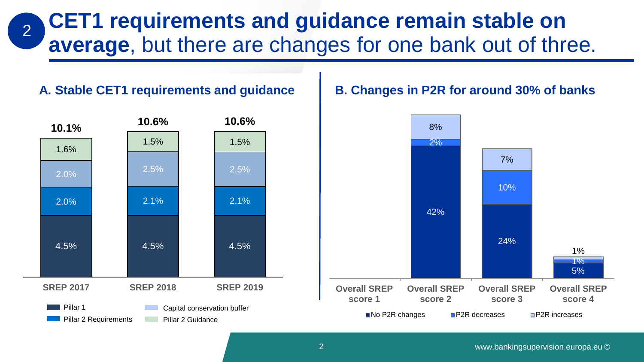#### **CET1 requirements and guidance remain stable on average**, but there are changes for one bank out of three. 2

#### **A. Stable CET1 requirements and guidance**



#### **B. Changes in P2R for around 30% of banks**

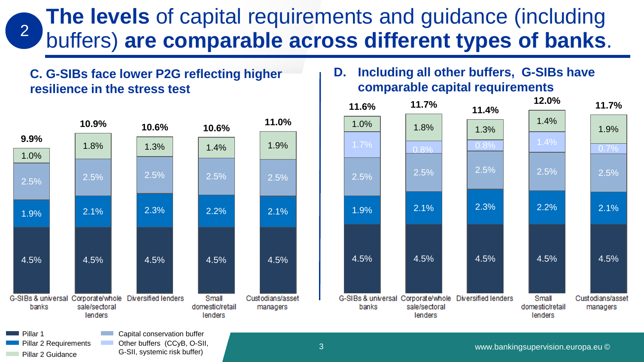#### **The levels** of capital requirements and guidance (including buffers) **are comparable across different types of banks**. 2

#### **C. G-SIBs face lower P2G reflecting higher resilience in the stress test**



G-SII, systemic risk buffer)

Pillar 2 Guidance

#### **D. Including all other buffers, G-SIBs have comparable capital requirements**

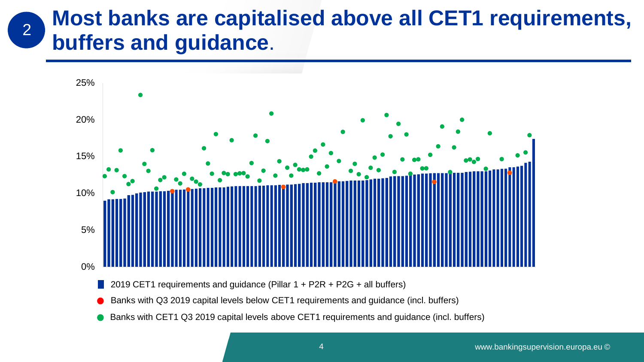#### **Most banks are capitalised above all CET1 requirements, buffers and guidance**. 2

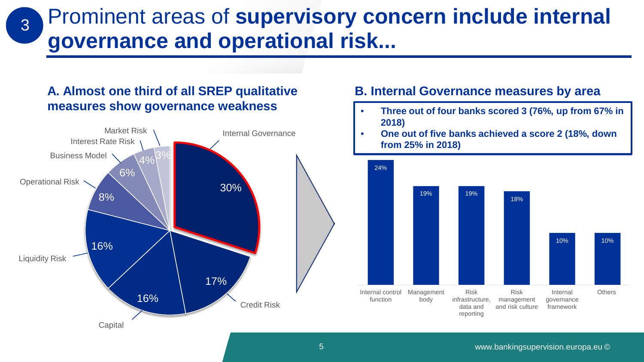Prominent areas of **supervisory concern include internal governance and operational risk...**

#### **A. Almost one third of all SREP qualitative measures show governance weakness**

3



#### **B. Internal Governance measures by area**

- **Three out of four banks scored 3 (76%, up from 67% in 2018)**
- **One out of five banks achieved a score 2 (18%, down from 25% in 2018)**

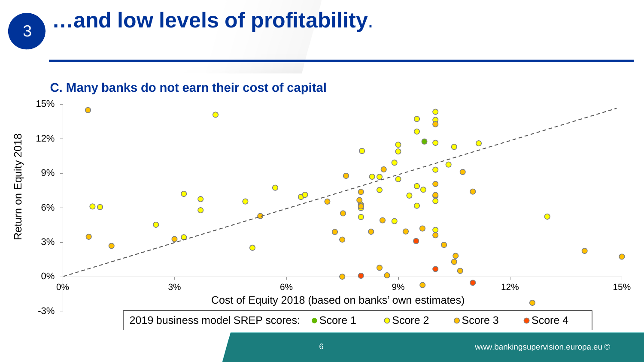## **…and low levels of profitability**.

#### **C. Many banks do not earn their cost of capital**

3

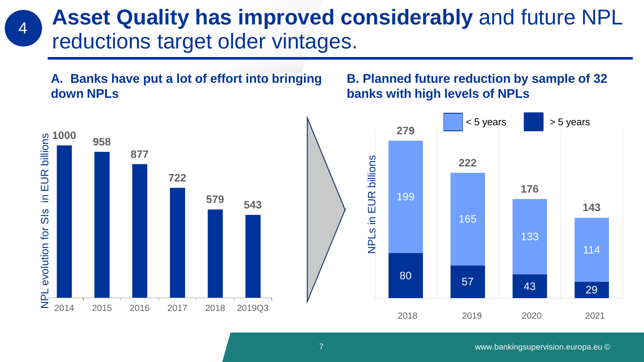## **Asset Quality has improved considerably** and future NPL reductions target older vintages.

**A. Banks have put a lot of effort into bringing down NPLs**

#### **B. Planned future reduction by sample of 32 banks with high levels of NPLs**